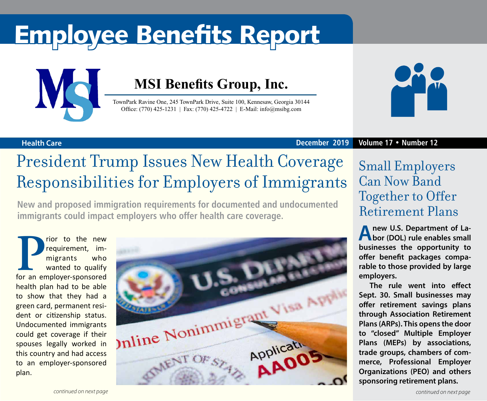# Employee Benefits Report



### **MSI Benefits Group, Inc.**

TownPark Ravine One, 245 TownPark Drive, Suite 100, Kennesaw, Georgia 30144 Office: (770) 425-1231 | Fax: (770) 425-4722 | E-Mail: info@msibg.com



**Health Care December 2019 Volume 17 • Number 12**

## President Trump Issues New Health Coverage Responsibilities for Employers of Immigrants

**New and proposed immigration requirements for documented and undocumented immigrants could impact employers who offer health care coverage.**

**Property contracts** to the new requirement, im-<br>
migrants who<br>
wanted to qualify<br>
for an employer-sponsored requirement, immigrants who wanted to qualify health plan had to be able to show that they had a green card, permanent resident or citizenship status. Undocumented immigrants could get coverage if their spouses legally worked in this country and had access to an employer-sponsored plan.



### Small Employers Can Now Band Together to Offer Retirement Plans

**A new U.S. Department of La-bor (DOL) rule enables small businesses the opportunity to offer benefit packages comparable to those provided by large employers.**

**The rule went into effect Sept. 30. Small businesses may offer retirement savings plans through Association Retirement Plans (ARPs). This opens the door to "closed" Multiple Employer Plans (MEPs) by associations, trade groups, chambers of commerce, Professional Employer Organizations (PEO) and others sponsoring retirement plans.**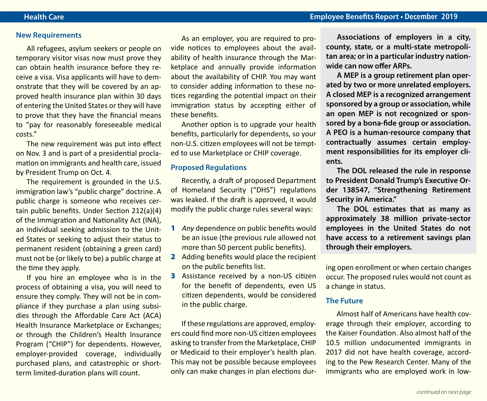#### **New Requirements**

All refugees, asylum seekers or people on temporary visitor visas now must prove they can obtain health insurance before they receive a visa. Visa applicants will have to demonstrate that they will be covered by an approved health insurance plan within 30 days of entering the United States or they will have to prove that they have the financial means to "pay for reasonably foreseeable medical costs."

The new requirement was put into effect on Nov. 3 and is part of a presidential proclamation on immigrants and health care, issued by President Trump on Oct. 4.

The requirement is grounded in the U.S. immigration law's "public charge" doctrine. A public charge is someone who receives certain public benefits. Under Section 212(a)(4) of the Immigration and Nationality Act (INA), an individual seeking admission to the United States or seeking to adjust their status to permanent resident (obtaining a green card) must not be (or likely to be) a public charge at the time they apply.

If you hire an employee who is in the process of obtaining a visa, you will need to ensure they comply. They will not be in compliance if they purchase a plan using subsidies through the Affordable Care Act (ACA) Health Insurance Marketplace or Exchanges; or through the Children's Health Insurance Program ("CHIP") for dependents. However, employer-provided coverage, individually purchased plans, and catastrophic or shortterm limited-duration plans will count.

As an employer, you are required to provide notices to employees about the availability of health insurance through the Marketplace and annually provide information about the availability of CHIP. You may want to consider adding information to these notices regarding the potential impact on their immigration status by accepting either of these benefits.

Another option is to upgrade your health benefits, particularly for dependents, so your non-U.S. citizen employees will not be tempted to use Marketplace or CHIP coverage.

#### **Proposed Regulations**

Recently, a draft of proposed Department of Homeland Security ("DHS") regulations was leaked. If the draft is approved, it would modify the public charge rules several ways:

- 1 *Any* dependence on public benefits would be an issue (the previous rule allowed not more than 50 percent public benefits).
- 2 Adding benefits would place the recipient on the public benefits list.
- **3** Assistance received by a non-US citizen for the benefit of dependents, even US citizen dependents, would be considered in the public charge.

If these regulations are approved, employers could find more non-US citizen employees asking to transfer from the Marketplace, CHIP or Medicaid to their employer's health plan. This may not be possible because employees only can make changes in plan elections dur-

**Associations of employers in a city, county, state, or a multi-state metropolitan area; or in a particular industry nationwide can now offer ARPs.**

**A MEP is a group retirement plan operated by two or more unrelated employers. A closed MEP is a recognized arrangement sponsored by a group or association, while an open MEP is not recognized or sponsored by a bona-fide group or association. A PEO is a human-resource company that contractually assumes certain employment responsibilities for its employer clients.**

**The DOL released the rule in response to President Donald Trump's Executive Order 138547, "Strengthening Retirement Security in America."**

**The DOL estimates that as many as approximately 38 million private-sector employees in the United States do not have access to a retirement savings plan through their employers.**

ing open enrollment or when certain changes occur. The proposed rules would not count as a change in status.

#### **The Future**

Almost half of Americans have health coverage through their employer, according to the Kaiser Foundation. Also almost half of the 10.5 million undocumented immigrants in 2017 did not have health coverage, according to the Pew Research Center. Many of the immigrants who are employed work in low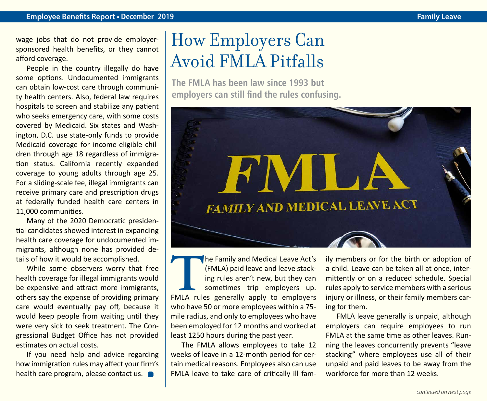wage jobs that do not provide employersponsored health benefits, or they cannot afford coverage.

People in the country illegally do have some options. Undocumented immigrants can obtain low-cost care through community health centers. Also, federal law requires hospitals to screen and stabilize any patient who seeks emergency care, with some costs covered by Medicaid. Six states and Washington, D.C. use state-only funds to provide Medicaid coverage for income-eligible children through age 18 regardless of immigration status. California recently expanded coverage to young adults through age 25. For a sliding-scale fee, illegal immigrants can receive primary care and prescription drugs at federally funded health care centers in 11,000 communities.

Many of the 2020 Democratic presidential candidates showed interest in expanding health care coverage for undocumented immigrants, although none has provided details of how it would be accomplished.

While some observers worry that free health coverage for illegal immigrants would be expensive and attract more immigrants, others say the expense of providing primary care would eventually pay off, because it would keep people from waiting until they were very sick to seek treatment. The Congressional Budget Office has not provided estimates on actual costs.

If you need help and advice regarding how immigration rules may affect your firm's health care program, please contact us.

# How Employers Can Avoid FMLA Pitfalls

**The FMLA has been law since 1993 but employers can still find the rules confusing.** 



The Family and Medical Leave Act's<br>
(FMLA) paid leave and leave stack-<br>
ing rules aren't new, but they can<br>
sometimes trip employers up.<br>
FMLA rules generally apply to employers (FMLA) paid leave and leave stacking rules aren't new, but they can sometimes trip employers up. who have 50 or more employees within a 75 mile radius, and only to employees who have been employed for 12 months and worked at least 1250 hours during the past year.

The FMLA allows employees to take 12 weeks of leave in a 12-month period for certain medical reasons. Employees also can use FMLA leave to take care of critically ill family members or for the birth or adoption of a child. Leave can be taken all at once, intermittently or on a reduced schedule. Special rules apply to service members with a serious injury or illness, or their family members caring for them.

FMLA leave generally is unpaid, although employers can require employees to run FMLA at the same time as other leaves. Running the leaves concurrently prevents "leave stacking" where employees use all of their unpaid and paid leaves to be away from the workforce for more than 12 weeks.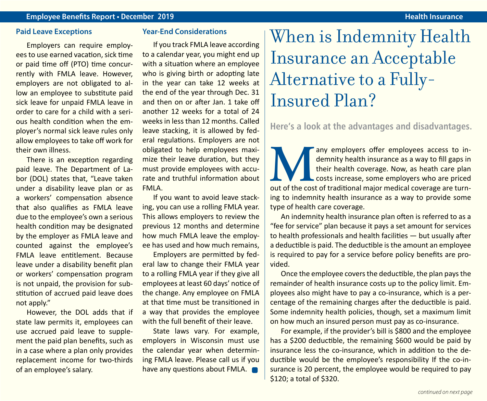#### **Paid Leave Exceptions**

Employers can require employees to use earned vacation, sick time or paid time off (PTO) time concurrently with FMLA leave. However, employers are not obligated to allow an employee to substitute paid sick leave for unpaid FMLA leave in order to care for a child with a serious health condition when the employer's normal sick leave rules only allow employees to take off work for their own illness.

There is an exception regarding paid leave. The Department of Labor (DOL) states that, "Leave taken under a disability leave plan or as a workers' compensation absence that also qualifies as FMLA leave due to the employee's own a serious health condition may be designated by the employer as FMLA leave and counted against the employee's FMLA leave entitlement. Because leave under a disability benefit plan or workers' compensation program is not unpaid, the provision for substitution of accrued paid leave does not apply."

However, the DOL adds that if state law permits it, employees can use accrued paid leave to supplement the paid plan benefits, such as in a case where a plan only provides replacement income for two-thirds of an employee's salary.

#### **Year-End Considerations**

If you track FMLA leave according to a calendar year, you might end up with a situation where an employee who is giving birth or adopting late in the year can take 12 weeks at the end of the year through Dec. 31 and then on or after Jan. 1 take off another 12 weeks for a total of 24 weeks in less than 12 months. Called leave stacking, it is allowed by federal regulations. Employers are not obligated to help employees maximize their leave duration, but they must provide employees with accurate and truthful information about FMLA.

If you want to avoid leave stacking, you can use a rolling FMLA year. This allows employers to review the previous 12 months and determine how much FMLA leave the employee has used and how much remains,

Employers are permitted by federal law to change their FMLA year to a rolling FMLA year if they give all employees at least 60 days' notice of the change. Any employee on FMLA at that time must be transitioned in a way that provides the employee with the full benefit of their leave.

State laws vary. For example, employers in Wisconsin must use the calendar year when determining FMLA leave. Please call us if you have any questions about FMLA.

### When is Indemnity Health Insurance an Acceptable Alternative to a Fully-Insured Plan?

**Here's a look at the advantages and disadvantages.**

any employers offer employees access to in-<br>demnity health insurance as a way to fill gaps in<br>their health coverage. Now, as heath care plan<br>costs increase, some employers who are priced<br>out of the cost of traditional majo demnity health insurance as a way to fill gaps in their health coverage. Now, as heath care plan costs increase, some employers who are priced out of the cost of traditional major medical coverage are turning to indemnity health insurance as a way to provide some type of health care coverage.

An indemnity health insurance plan often is referred to as a "fee for service" plan because it pays a set amount for services to health professionals and health facilities — but usually after a deductible is paid. The deductible is the amount an employee is required to pay for a service before policy benefits are provided.

Once the employee covers the deductible, the plan pays the remainder of health insurance costs up to the policy limit. Employees also might have to pay a co-insurance, which is a percentage of the remaining charges after the deductible is paid. Some indemnity health policies, though, set a maximum limit on how much an insured person must pay as co-insurance.

For example, if the provider's bill is \$800 and the employee has a \$200 deductible, the remaining \$600 would be paid by insurance less the co-insurance, which in addition to the deductible would be the employee's responsibility If the co-insurance is 20 percent, the employee would be required to pay \$120; a total of \$320.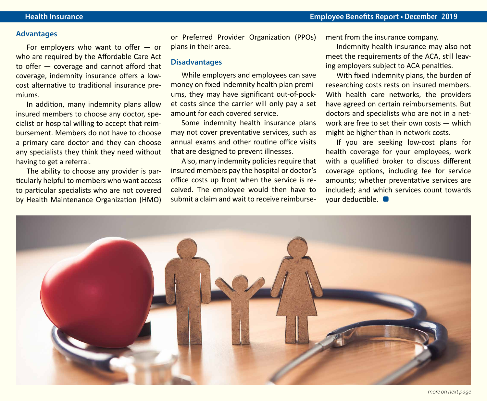#### **Advantages**

For employers who want to offer — or who are required by the Affordable Care Act to offer — coverage and cannot afford that coverage, indemnity insurance offers a lowcost alternative to traditional insurance premiums.

In addition, many indemnity plans allow insured members to choose any doctor, specialist or hospital willing to accept that reimbursement. Members do not have to choose a primary care doctor and they can choose any specialists they think they need without having to get a referral.

The ability to choose any provider is particularly helpful to members who want access to particular specialists who are not covered by Health Maintenance Organization (HMO)

or Preferred Provider Organization (PPOs) plans in their area.

#### **Disadvantages**

While employers and employees can save money on fixed indemnity health plan premiums, they may have significant out-of-pocket costs since the carrier will only pay a set amount for each covered service.

Some indemnity health insurance plans may not cover preventative services, such as annual exams and other routine office visits that are designed to prevent illnesses.

Also, many indemnity policies require that insured members pay the hospital or doctor's office costs up front when the service is received. The employee would then have to submit a claim and wait to receive reimbursement from the insurance company.

Indemnity health insurance may also not meet the requirements of the ACA, still leaving employers subject to ACA penalties.

With fixed indemnity plans, the burden of researching costs rests on insured members. With health care networks, the providers have agreed on certain reimbursements. But doctors and specialists who are not in a network are free to set their own costs — which might be higher than in-network costs.

If you are seeking low-cost plans for health coverage for your employees, work with a qualified broker to discuss different coverage options, including fee for service amounts; whether preventative services are included; and which services count towards your deductible.